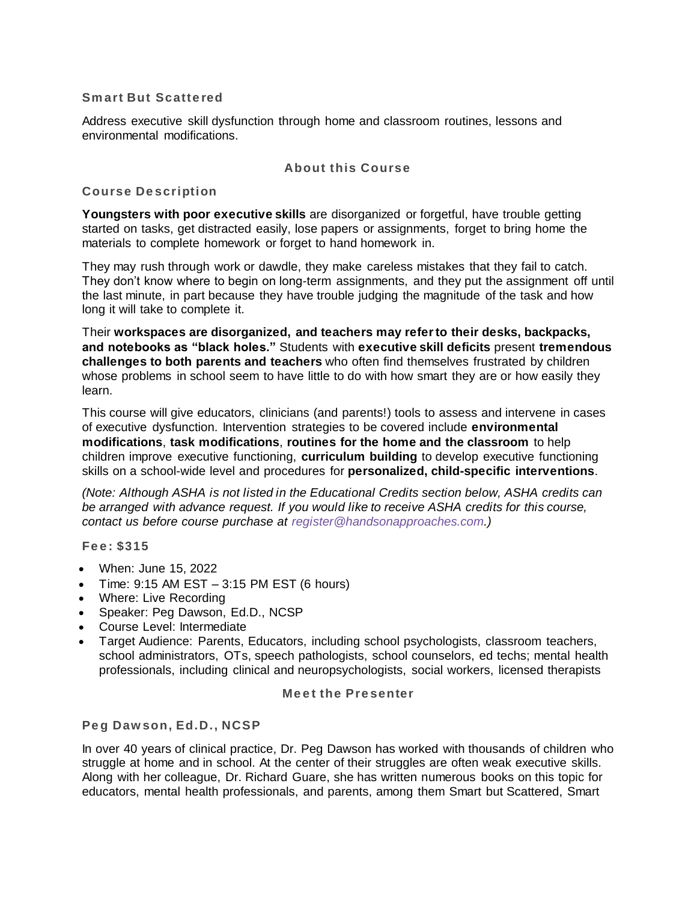## **Sm art But Scatte red**

Address executive skill dysfunction through home and classroom routines, lessons and environmental modifications.

## **About this Course**

## **Course De scription**

**Youngsters with poor executive skills** are disorganized or forgetful, have trouble getting started on tasks, get distracted easily, lose papers or assignments, forget to bring home the materials to complete homework or forget to hand homework in.

They may rush through work or dawdle, they make careless mistakes that they fail to catch. They don't know where to begin on long-term assignments, and they put the assignment off until the last minute, in part because they have trouble judging the magnitude of the task and how long it will take to complete it.

Their **workspaces are disorganized, and teachers may refer to their desks, backpacks, and notebooks as "black holes."** Students with **executive skill deficits** present **tremendous challenges to both parents and teachers** who often find themselves frustrated by children whose problems in school seem to have little to do with how smart they are or how easily they learn.

This course will give educators, clinicians (and parents!) tools to assess and intervene in cases of executive dysfunction. Intervention strategies to be covered include **environmental modifications**, **task modifications**, **routines for the home and the classroom** to help children improve executive functioning, **curriculum building** to develop executive functioning skills on a school-wide level and procedures for **personalized, child-specific interventions**.

*(Note: Although ASHA is not listed in the Educational Credits section below, ASHA credits can be arranged with advance request. If you would like to receive ASHA credits for this course, contact us before course purchase at [register@handsonapproaches.com.\)](mailto:register@handsonapproaches.com)*

**Fe e : \$315**

- When: June 15, 2022
- Time: 9:15 AM EST 3:15 PM EST (6 hours)
- Where: Live Recording
- Speaker: Peg Dawson, Ed.D., NCSP
- Course Level: Intermediate
- Target Audience: Parents, Educators, including school psychologists, classroom teachers, school administrators, OTs, speech pathologists, school counselors, ed techs; mental health professionals, including clinical and neuropsychologists, social workers, licensed therapists

#### **Meet the Presenter**

### **Pe g Daw son, Ed.D., NCSP**

In over 40 years of clinical practice, Dr. Peg Dawson has worked with thousands of children who struggle at home and in school. At the center of their struggles are often weak executive skills. Along with her colleague, Dr. Richard Guare, she has written numerous books on this topic for educators, mental health professionals, and parents, among them Smart but Scattered, Smart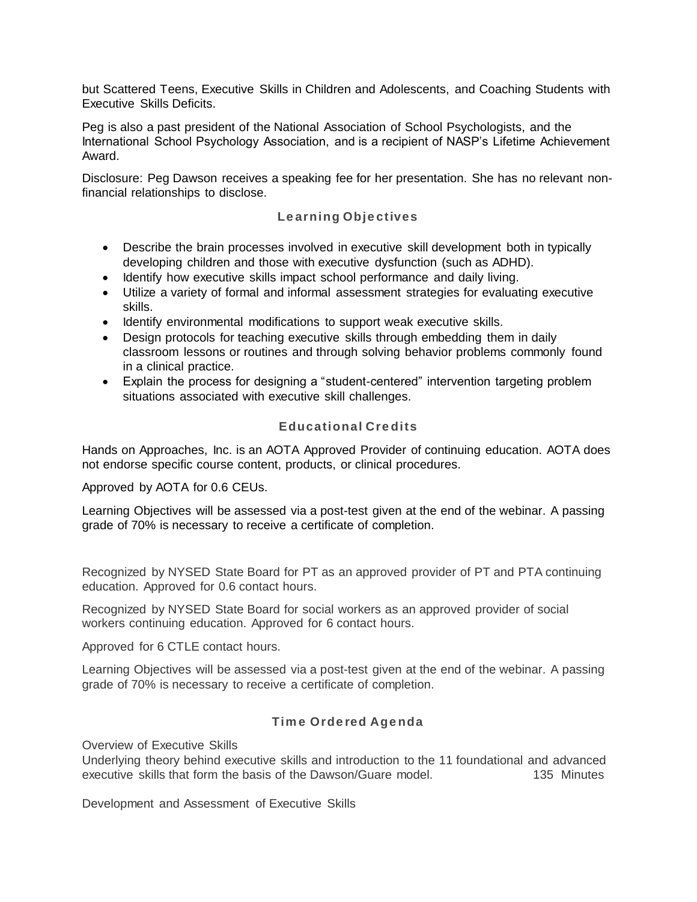but Scattered Teens, Executive Skills in Children and Adolescents, and Coaching Students with Executive Skills Deficits.

Peg is also a past president of the National Association of School Psychologists, and the International School Psychology Association, and is a recipient of NASP's Lifetime Achievement Award.

Disclosure: Peg Dawson receives a speaking fee for her presentation. She has no relevant nonfinancial relationships to disclose.

## **Le arning Obje ctives**

- Describe the brain processes involved in executive skill development both in typically developing children and those with executive dysfunction (such as ADHD).
- Identify how executive skills impact school performance and daily living.
- Utilize a variety of formal and informal assessment strategies for evaluating executive skills.
- Identify environmental modifications to support weak executive skills.
- Design protocols for teaching executive skills through embedding them in daily classroom lessons or routines and through solving behavior problems commonly found in a clinical practice.
- Explain the process for designing a "student-centered" intervention targeting problem situations associated with executive skill challenges.

## **Educational Cre dits**

Hands on Approaches, Inc. is an AOTA Approved Provider of continuing education. AOTA does not endorse specific course content, products, or clinical procedures.

#### Approved by AOTA for 0.6 CEUs.

Learning Objectives will be assessed via a post-test given at the end of the webinar. A passing grade of 70% is necessary to receive a certificate of completion.

Recognized by NYSED State Board for PT as an approved provider of PT and PTA continuing education. Approved for 0.6 contact hours.

Recognized by NYSED State Board for social workers as an approved provider of social workers continuing education. Approved for 6 contact hours.

Approved for 6 CTLE contact hours.

Learning Objectives will be assessed via a post-test given at the end of the webinar. A passing grade of 70% is necessary to receive a certificate of completion.

### **Tim e Orde red Age nda**

Overview of Executive Skills

Underlying theory behind executive skills and introduction to the 11 foundational and advanced executive skills that form the basis of the Dawson/Guare model. 135 Minutes

Development and Assessment of Executive Skills